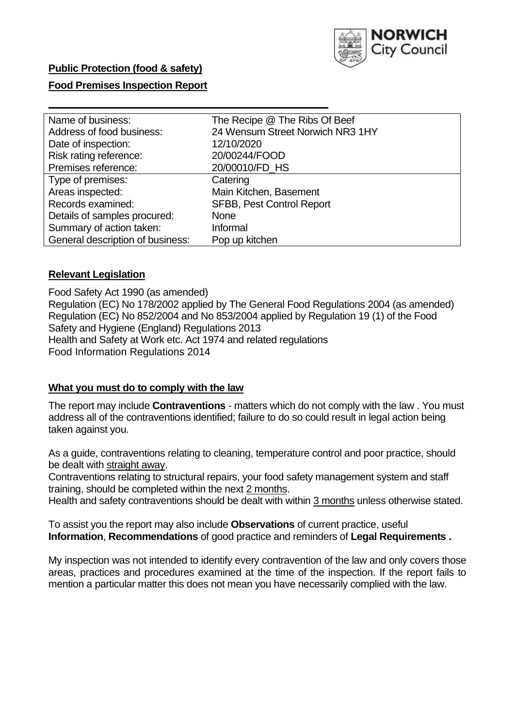

## **Public Protection (food & safety)**

#### **Food Premises Inspection Report**

| Name of business:                | The Recipe @ The Ribs Of Beef    |
|----------------------------------|----------------------------------|
| Address of food business:        | 24 Wensum Street Norwich NR3 1HY |
| Date of inspection:              | 12/10/2020                       |
| Risk rating reference:           | 20/00244/FOOD                    |
| Premises reference:              | 20/00010/FD HS                   |
| Type of premises:                | Catering                         |
| Areas inspected:                 | Main Kitchen, Basement           |
| Records examined:                | <b>SFBB, Pest Control Report</b> |
| Details of samples procured:     | <b>None</b>                      |
| Summary of action taken:         | Informal                         |
| General description of business: | Pop up kitchen                   |

#### **Relevant Legislation**

 Food Safety Act 1990 (as amended) Regulation (EC) No 178/2002 applied by The General Food Regulations 2004 (as amended) Regulation (EC) No 852/2004 and No 853/2004 applied by Regulation 19 (1) of the Food Safety and Hygiene (England) Regulations 2013 Health and Safety at Work etc. Act 1974 and related regulations Food Information Regulations 2014

#### **What you must do to comply with the law**

 The report may include **Contraventions** - matters which do not comply with the law . You must address all of the contraventions identified; failure to do so could result in legal action being taken against you.

 As a guide, contraventions relating to cleaning, temperature control and poor practice, should be dealt with straight away.

 Contraventions relating to structural repairs, your food safety management system and staff training, should be completed within the next 2 months.

Health and safety contraventions should be dealt with within 3 months unless otherwise stated.

 To assist you the report may also include **Observations** of current practice, useful **Information**, **Recommendations** of good practice and reminders of **Legal Requirements .** 

 My inspection was not intended to identify every contravention of the law and only covers those areas, practices and procedures examined at the time of the inspection. If the report fails to mention a particular matter this does not mean you have necessarily complied with the law.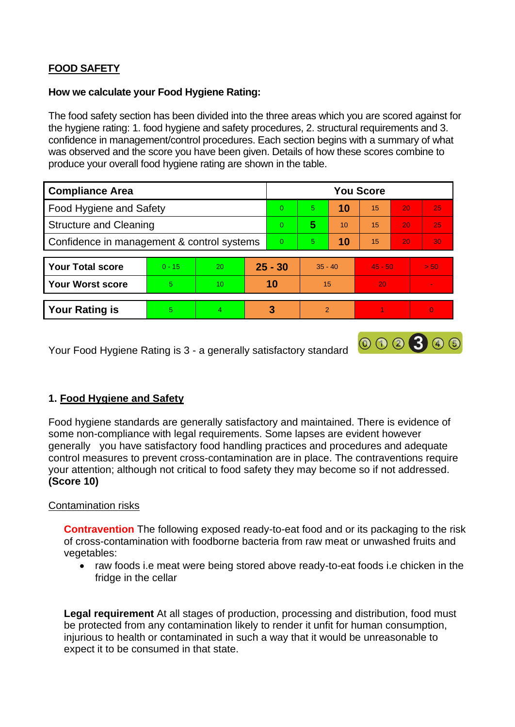# **FOOD SAFETY**

## **How we calculate your Food Hygiene Rating:**

 The food safety section has been divided into the three areas which you are scored against for the hygiene rating: 1. food hygiene and safety procedures, 2. structural requirements and 3. confidence in management/control procedures. Each section begins with a summary of what was observed and the score you have been given. Details of how these scores combine to produce your overall food hygiene rating are shown in the table.

| <b>Compliance Area</b>                     |          |                |           | <b>You Score</b> |               |    |           |                 |          |  |  |
|--------------------------------------------|----------|----------------|-----------|------------------|---------------|----|-----------|-----------------|----------|--|--|
| Food Hygiene and Safety                    |          |                |           | $\Omega$         | 5             | 10 | 15        | 20              | 25       |  |  |
| <b>Structure and Cleaning</b>              |          |                | $\Omega$  | 5                | 10            | 15 | 20        | 25              |          |  |  |
| Confidence in management & control systems |          |                | $\Omega$  | 5                | 10            | 15 | 20        | 30 <sup>°</sup> |          |  |  |
|                                            |          |                |           |                  |               |    |           |                 |          |  |  |
| <b>Your Total score</b>                    | $0 - 15$ | 20             | $25 - 30$ |                  | $35 - 40$     |    | $45 - 50$ |                 | > 50     |  |  |
| <b>Your Worst score</b>                    | 5        | 10             | 10        |                  | 15            |    | 20        |                 |          |  |  |
|                                            |          |                |           |                  |               |    |           |                 |          |  |  |
| <b>Your Rating is</b>                      | 5        | $\overline{4}$ |           | 3                | $\mathcal{P}$ |    |           |                 | $\Omega$ |  |  |

Your Food Hygiene Rating is 3 - a generally satisfactory standard

# **1. Food Hygiene and Safety**

 generally you have satisfactory food handling practices and procedures and adequate Food hygiene standards are generally satisfactory and maintained. There is evidence of some non-compliance with legal requirements. Some lapses are evident however control measures to prevent cross-contamination are in place. The contraventions require your attention; although not critical to food safety they may become so if not addressed. **(Score 10)** 

000300

## Contamination risks

**Contravention** The following exposed ready-to-eat food and or its packaging to the risk of cross-contamination with foodborne bacteria from raw meat or unwashed fruits and vegetables:

• raw foods i.e meat were being stored above ready-to-eat foods i.e chicken in the fridge in the cellar

 injurious to health or contaminated in such a way that it would be unreasonable to **Legal requirement** At all stages of production, processing and distribution, food must be protected from any contamination likely to render it unfit for human consumption, expect it to be consumed in that state.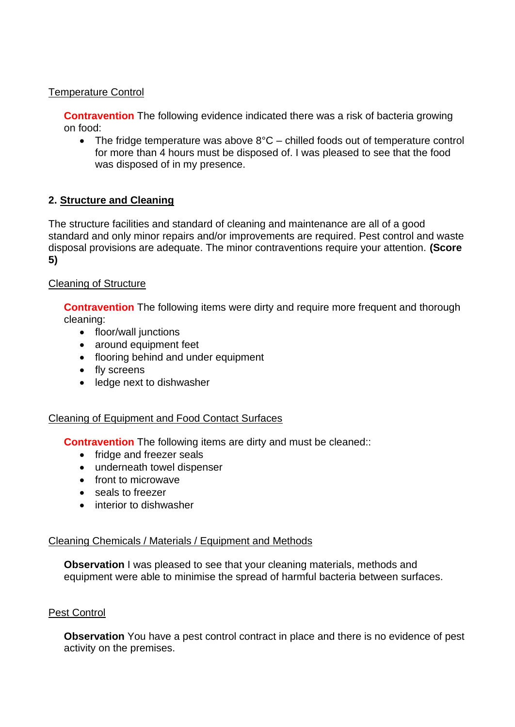# Temperature Control

 **Contravention** The following evidence indicated there was a risk of bacteria growing on food:

 for more than 4 hours must be disposed of. I was pleased to see that the food • The fridge temperature was above  $8^{\circ}C$  – chilled foods out of temperature control was disposed of in my presence.

# **2. Structure and Cleaning**

 The structure facilities and standard of cleaning and maintenance are all of a good standard and only minor repairs and/or improvements are required. Pest control and waste disposal provisions are adequate. The minor contraventions require your attention. **(Score 5)** 

# Cleaning of Structure

**Contravention** The following items were dirty and require more frequent and thorough cleaning:

- floor/wall junctions
- around equipment feet
- flooring behind and under equipment
- fly screens
- ledge next to dishwasher

## Cleaning of Equipment and Food Contact Surfaces

**Contravention** The following items are dirty and must be cleaned::

- fridge and freezer seals
- underneath towel dispenser
- front to microwave
- seals to freezer
- interior to dishwasher

## Cleaning Chemicals / Materials / Equipment and Methods

**Observation** I was pleased to see that your cleaning materials, methods and equipment were able to minimise the spread of harmful bacteria between surfaces.

## Pest Control

 **Observation** You have a pest control contract in place and there is no evidence of pest activity on the premises.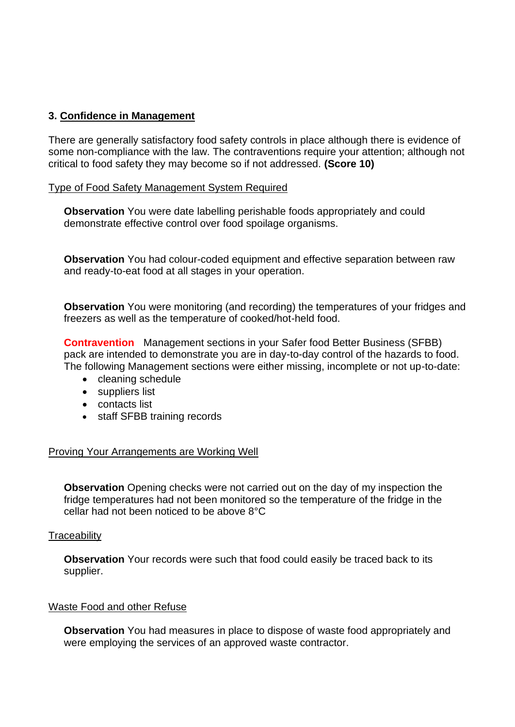# **3. Confidence in Management**

 There are generally satisfactory food safety controls in place although there is evidence of some non-compliance with the law. The contraventions require your attention; although not critical to food safety they may become so if not addressed. **(Score 10)** 

#### Type of Food Safety Management System Required

 demonstrate effective control over food spoilage organisms. **Observation** You were date labelling perishable foods appropriately and could

**Observation** You had colour-coded equipment and effective separation between raw and ready-to-eat food at all stages in your operation.

**Observation** You were monitoring (and recording) the temperatures of your fridges and freezers as well as the temperature of cooked/hot-held food.

 **Contravention** Management sections in your Safer food Better Business (SFBB) pack are intended to demonstrate you are in day-to-day control of the hazards to food. The following Management sections were either missing, incomplete or not up-to-date:

- cleaning schedule
- suppliers list
- contacts list
- staff SFBB training records

## Proving Your Arrangements are Working Well

**Observation** Opening checks were not carried out on the day of my inspection the fridge temperatures had not been monitored so the temperature of the fridge in the cellar had not been noticed to be above 8°C

#### **Traceability**

**Observation** Your records were such that food could easily be traced back to its supplier.

#### Waste Food and other Refuse

 **Observation** You had measures in place to dispose of waste food appropriately and were employing the services of an approved waste contractor.